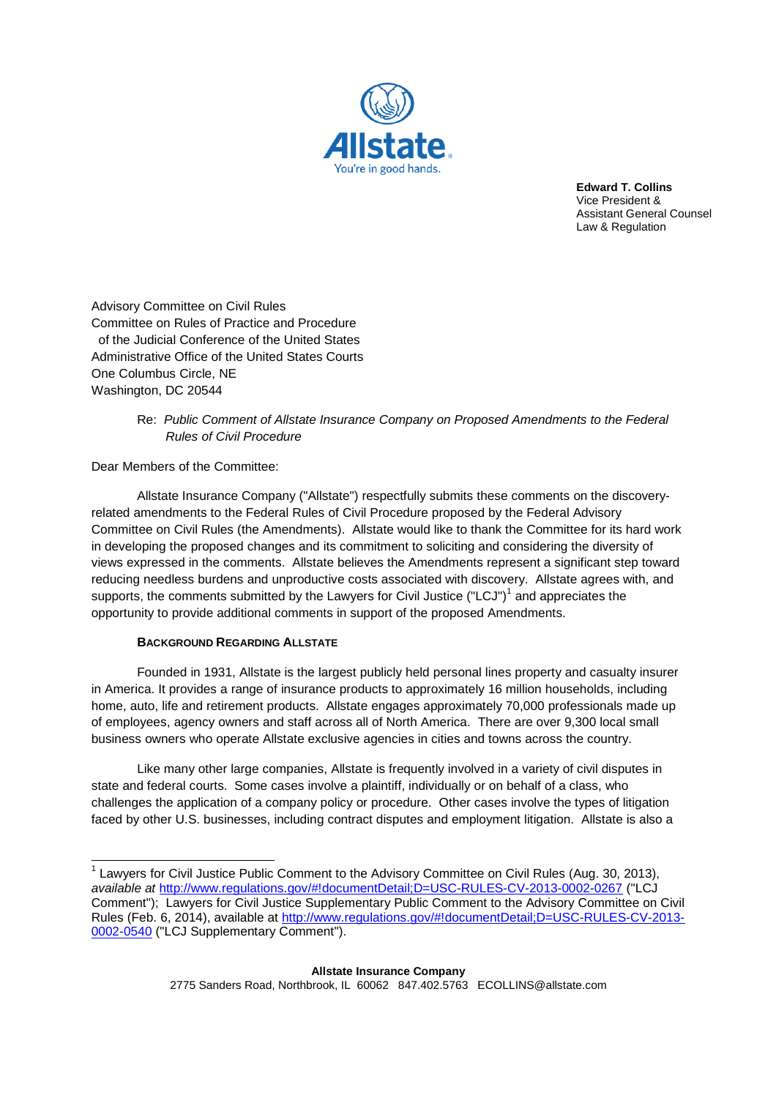

**Edward T. Collins** Vice President & Assistant General Counsel Law & Regulation

Advisory Committee on Civil Rules Committee on Rules of Practice and Procedure of the Judicial Conference of the United States Administrative Office of the United States Courts One Columbus Circle, NE Washington, DC 20544

# Re: *Public Comment of Allstate Insurance Company on Proposed Amendments to the Federal Rules of Civil Procedure*

Dear Members of the Committee:

Allstate Insurance Company ("Allstate") respectfully submits these comments on the discoveryrelated amendments to the Federal Rules of Civil Procedure proposed by the Federal Advisory Committee on Civil Rules (the Amendments). Allstate would like to thank the Committee for its hard work in developing the proposed changes and its commitment to soliciting and considering the diversity of views expressed in the comments. Allstate believes the Amendments represent a significant step toward reducing needless burdens and unproductive costs associated with discovery. Allstate agrees with, and supports, the comments submitted by the Lawyers for Civil Justice ("LCJ")<sup>1</sup> and appreciates the opportunity to provide additional comments in support of the proposed Amendments.

## **BACKGROUND REGARDING ALLSTATE**

Founded in 1931, Allstate is the largest publicly held personal lines property and casualty insurer in America. It provides a range of insurance products to approximately 16 million households, including home, auto, life and retirement products. Allstate engages approximately 70,000 professionals made up of employees, agency owners and staff across all of North America. There are over 9,300 local small business owners who operate Allstate exclusive agencies in cities and towns across the country.

Like many other large companies, Allstate is frequently involved in a variety of civil disputes in state and federal courts. Some cases involve a plaintiff, individually or on behalf of a class, who challenges the application of a company policy or procedure. Other cases involve the types of litigation faced by other U.S. businesses, including contract disputes and employment litigation. Allstate is also a

 $1$  Lawyers for Civil Justice Public Comment to the Advisory Committee on Civil Rules (Aug. 30, 2013), *available at* http://www.regulations.gov/#!documentDetail;D=USC-RULES-CV-2013-0002-0267 ("LCJ Comment"); Lawyers for Civil Justice Supplementary Public Comment to the Advisory Committee on Civil Rules (Feb. 6, 2014), available at http://www.regulations.gov/#!documentDetail;D=USC-RULES-CV-2013-0002-0540 ("LCJ Supplementary Comment").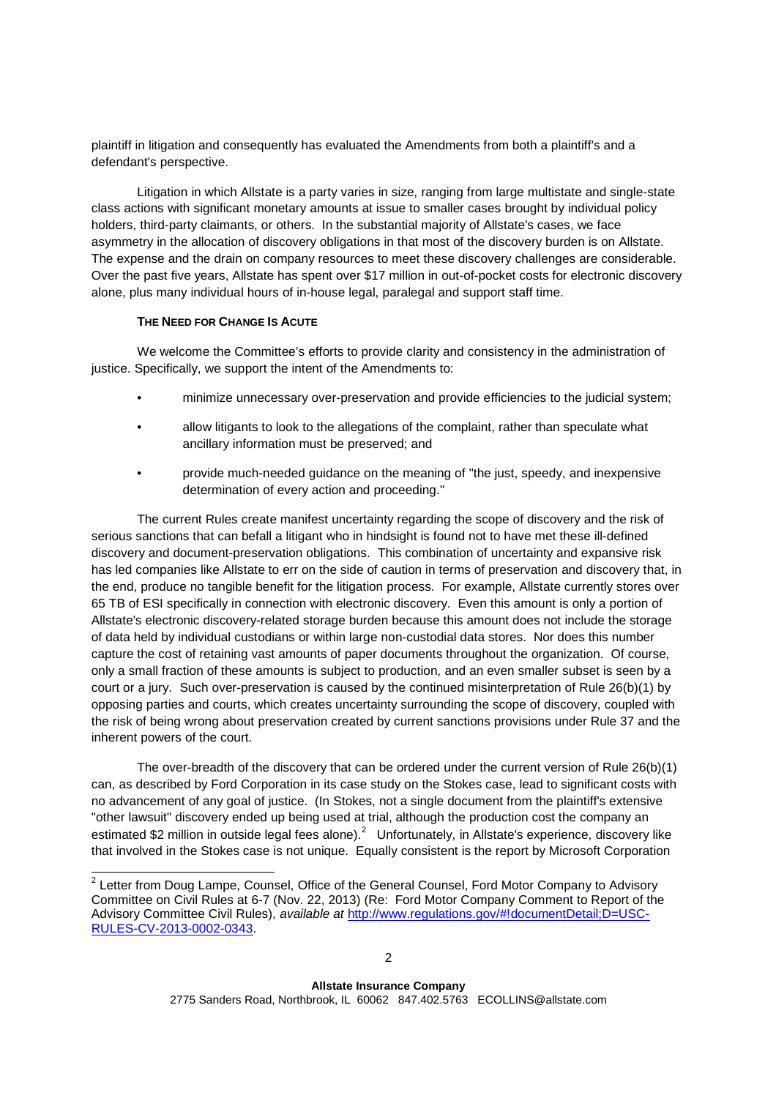plaintiff in litigation and consequently has evaluated the Amendments from both a plaintiff's and a defendant's perspective.

Litigation in which Allstate is a party varies in size, ranging from large multistate and single-state class actions with significant monetary amounts at issue to smaller cases brought by individual policy holders, third-party claimants, or others. In the substantial majority of Allstate's cases, we face asymmetry in the allocation of discovery obligations in that most of the discovery burden is on Allstate. The expense and the drain on company resources to meet these discovery challenges are considerable. Over the past five years, Allstate has spent over \$17 million in out-of-pocket costs for electronic discovery alone, plus many individual hours of in-house legal, paralegal and support staff time.

### **THE NEED FOR CHANGE IS ACUTE**

We welcome the Committee's efforts to provide clarity and consistency in the administration of justice. Specifically, we support the intent of the Amendments to:

- minimize unnecessary over-preservation and provide efficiencies to the judicial system;
- allow litigants to look to the allegations of the complaint, rather than speculate what ancillary information must be preserved; and
- provide much-needed guidance on the meaning of "the just, speedy, and inexpensive determination of every action and proceeding."

The current Rules create manifest uncertainty regarding the scope of discovery and the risk of serious sanctions that can befall a litigant who in hindsight is found not to have met these ill-defined discovery and document-preservation obligations. This combination of uncertainty and expansive risk has led companies like Allstate to err on the side of caution in terms of preservation and discovery that, in the end, produce no tangible benefit for the litigation process. For example, Allstate currently stores over 65 TB of ESI specifically in connection with electronic discovery. Even this amount is only a portion of Allstate's electronic discovery-related storage burden because this amount does not include the storage of data held by individual custodians or within large non-custodial data stores. Nor does this number capture the cost of retaining vast amounts of paper documents throughout the organization. Of course, only a small fraction of these amounts is subject to production, and an even smaller subset is seen by a court or a jury. Such over-preservation is caused by the continued misinterpretation of Rule 26(b)(1) by opposing parties and courts, which creates uncertainty surrounding the scope of discovery, coupled with the risk of being wrong about preservation created by current sanctions provisions under Rule 37 and the inherent powers of the court.

The over-breadth of the discovery that can be ordered under the current version of Rule 26(b)(1) can, as described by Ford Corporation in its case study on the Stokes case, lead to significant costs with no advancement of any goal of justice. (In Stokes, not a single document from the plaintiff's extensive "other lawsuit" discovery ended up being used at trial, although the production cost the company an estimated \$2 million in outside legal fees alone).<sup>2</sup> Unfortunately, in Allstate's experience, discovery like that involved in the Stokes case is not unique. Equally consistent is the report by Microsoft Corporation

<sup>&</sup>lt;sup>2</sup> Letter from Doug Lampe, Counsel, Office of the General Counsel, Ford Motor Company to Advisory Committee on Civil Rules at 6-7 (Nov. 22, 2013) (Re: Ford Motor Company Comment to Report of the Advisory Committee Civil Rules), *available at* http://www.regulations.gov/#!documentDetail;D=USC-RULES-CV-2013-0002-0343.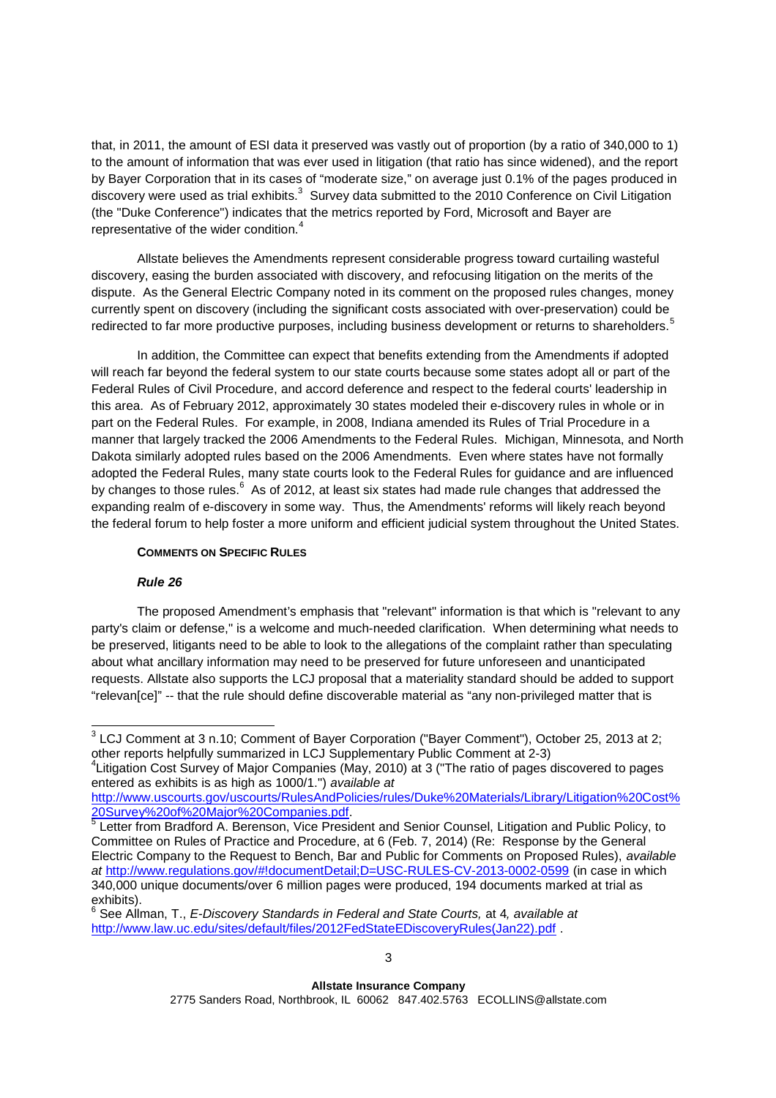that, in 2011, the amount of ESI data it preserved was vastly out of proportion (by a ratio of 340,000 to 1) to the amount of information that was ever used in litigation (that ratio has since widened), and the report by Bayer Corporation that in its cases of "moderate size," on average just 0.1% of the pages produced in discovery were used as trial exhibits. $^3$  Survey data submitted to the 2010 Conference on Civil Litigation (the "Duke Conference") indicates that the metrics reported by Ford, Microsoft and Bayer are representative of the wider condition.<sup>4</sup>

Allstate believes the Amendments represent considerable progress toward curtailing wasteful discovery, easing the burden associated with discovery, and refocusing litigation on the merits of the dispute. As the General Electric Company noted in its comment on the proposed rules changes, money currently spent on discovery (including the significant costs associated with over-preservation) could be redirected to far more productive purposes, including business development or returns to shareholders.<sup>5</sup>

In addition, the Committee can expect that benefits extending from the Amendments if adopted will reach far beyond the federal system to our state courts because some states adopt all or part of the Federal Rules of Civil Procedure, and accord deference and respect to the federal courts' leadership in this area. As of February 2012, approximately 30 states modeled their e-discovery rules in whole or in part on the Federal Rules. For example, in 2008, Indiana amended its Rules of Trial Procedure in a manner that largely tracked the 2006 Amendments to the Federal Rules. Michigan, Minnesota, and North Dakota similarly adopted rules based on the 2006 Amendments. Even where states have not formally adopted the Federal Rules, many state courts look to the Federal Rules for guidance and are influenced by changes to those rules.<sup>6</sup> As of 2012, at least six states had made rule changes that addressed the expanding realm of e-discovery in some way. Thus, the Amendments' reforms will likely reach beyond the federal forum to help foster a more uniform and efficient judicial system throughout the United States.

#### **COMMENTS ON SPECIFIC RULES**

#### *Rule 26*

The proposed Amendment's emphasis that "relevant" information is that which is "relevant to any party's claim or defense," is a welcome and much-needed clarification. When determining what needs to be preserved, litigants need to be able to look to the allegations of the complaint rather than speculating about what ancillary information may need to be preserved for future unforeseen and unanticipated requests. Allstate also supports the LCJ proposal that a materiality standard should be added to support "relevan[ce]" -- that the rule should define discoverable material as "any non-privileged matter that is

4 Litigation Cost Survey of Major Companies (May, 2010) at 3 ("The ratio of pages discovered to pages entered as exhibits is as high as 1000/1.") *available at*

http://www.uscourts.gov/uscourts/RulesAndPolicies/rules/Duke%20Materials/Library/Litigation%20Cost% 20Survey%20of%20Major%20Companies.pdf.

 $3$  LCJ Comment at 3 n.10; Comment of Bayer Corporation ("Bayer Comment"), October 25, 2013 at 2; other reports helpfully summarized in LCJ Supplementary Public Comment at 2-3)

<sup>5</sup> Letter from Bradford A. Berenson, Vice President and Senior Counsel, Litigation and Public Policy, to Committee on Rules of Practice and Procedure, at 6 (Feb. 7, 2014) (Re: Response by the General Electric Company to the Request to Bench, Bar and Public for Comments on Proposed Rules), *available at* http://www.regulations.gov/#!documentDetail;D=USC-RULES-CV-2013-0002-0599 (in case in which 340,000 unique documents/over 6 million pages were produced, 194 documents marked at trial as

exhibits). 6 See Allman, T., *E-Discovery Standards in Federal and State Courts,* at 4*, available at* http://www.law.uc.edu/sites/default/files/2012FedStateEDiscoveryRules(Jan22).pdf .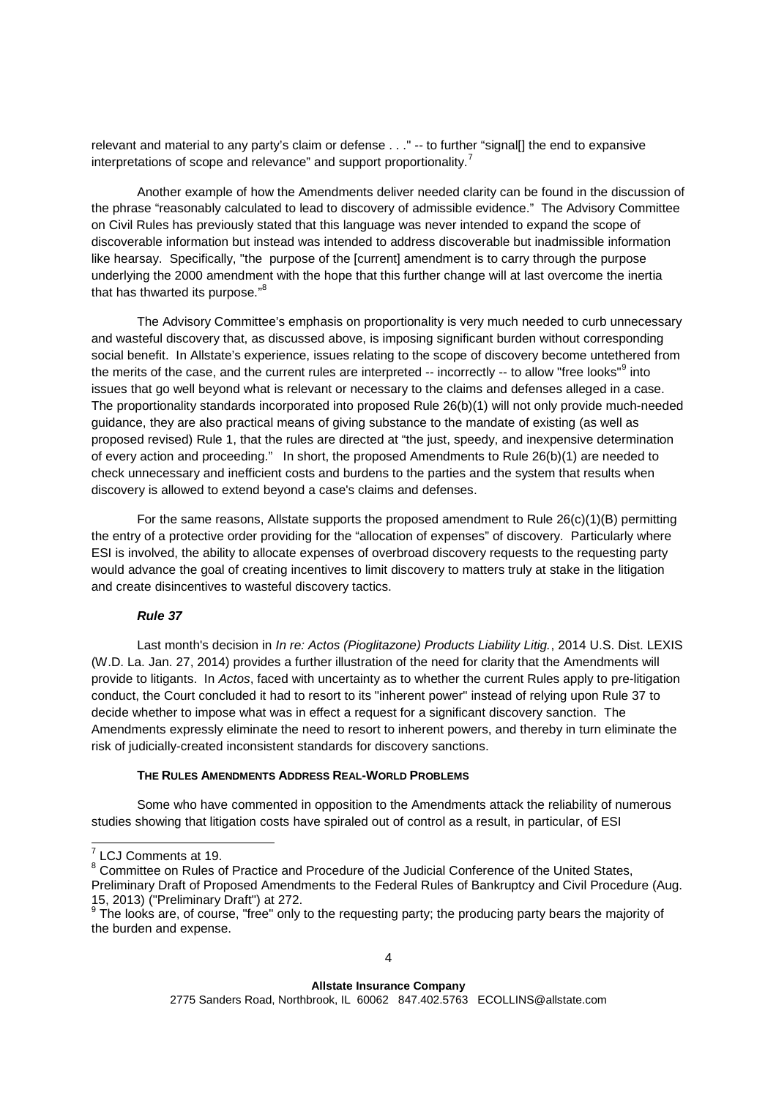relevant and material to any party's claim or defense . . ." -- to further "signal[] the end to expansive interpretations of scope and relevance" and support proportionality.<sup>7</sup>

Another example of how the Amendments deliver needed clarity can be found in the discussion of the phrase "reasonably calculated to lead to discovery of admissible evidence." The Advisory Committee on Civil Rules has previously stated that this language was never intended to expand the scope of discoverable information but instead was intended to address discoverable but inadmissible information like hearsay. Specifically, "the purpose of the [current] amendment is to carry through the purpose underlying the 2000 amendment with the hope that this further change will at last overcome the inertia that has thwarted its purpose."<sup>8</sup>

The Advisory Committee's emphasis on proportionality is very much needed to curb unnecessary and wasteful discovery that, as discussed above, is imposing significant burden without corresponding social benefit. In Allstate's experience, issues relating to the scope of discovery become untethered from the merits of the case, and the current rules are interpreted -- incorrectly -- to allow "free looks"<sup>9</sup> into issues that go well beyond what is relevant or necessary to the claims and defenses alleged in a case. The proportionality standards incorporated into proposed Rule 26(b)(1) will not only provide much-needed guidance, they are also practical means of giving substance to the mandate of existing (as well as proposed revised) Rule 1, that the rules are directed at "the just, speedy, and inexpensive determination of every action and proceeding." In short, the proposed Amendments to Rule 26(b)(1) are needed to check unnecessary and inefficient costs and burdens to the parties and the system that results when discovery is allowed to extend beyond a case's claims and defenses.

For the same reasons, Allstate supports the proposed amendment to Rule  $26(c)(1)(B)$  permitting the entry of a protective order providing for the "allocation of expenses" of discovery. Particularly where ESI is involved, the ability to allocate expenses of overbroad discovery requests to the requesting party would advance the goal of creating incentives to limit discovery to matters truly at stake in the litigation and create disincentives to wasteful discovery tactics.

# *Rule 37*

Last month's decision in *In re: Actos (Pioglitazone) Products Liability Litig.*, 2014 U.S. Dist. LEXIS (W.D. La. Jan. 27, 2014) provides a further illustration of the need for clarity that the Amendments will provide to litigants. In *Actos*, faced with uncertainty as to whether the current Rules apply to pre-litigation conduct, the Court concluded it had to resort to its "inherent power" instead of relying upon Rule 37 to decide whether to impose what was in effect a request for a significant discovery sanction. The Amendments expressly eliminate the need to resort to inherent powers, and thereby in turn eliminate the risk of judicially-created inconsistent standards for discovery sanctions.

#### **THE RULES AMENDMENTS ADDRESS REAL-WORLD PROBLEMS**

Some who have commented in opposition to the Amendments attack the reliability of numerous studies showing that litigation costs have spiraled out of control as a result, in particular, of ESI

<sup>&</sup>lt;sup>7</sup> LCJ Comments at 19.

<sup>8</sup> Committee on Rules of Practice and Procedure of the Judicial Conference of the United States, Preliminary Draft of Proposed Amendments to the Federal Rules of Bankruptcy and Civil Procedure (Aug. 15, 2013) ("Preliminary Draft") at 272.<br><sup>9</sup> The looks are, of course, "free" only to the requesting party; the producing party bears the majority of

the burden and expense.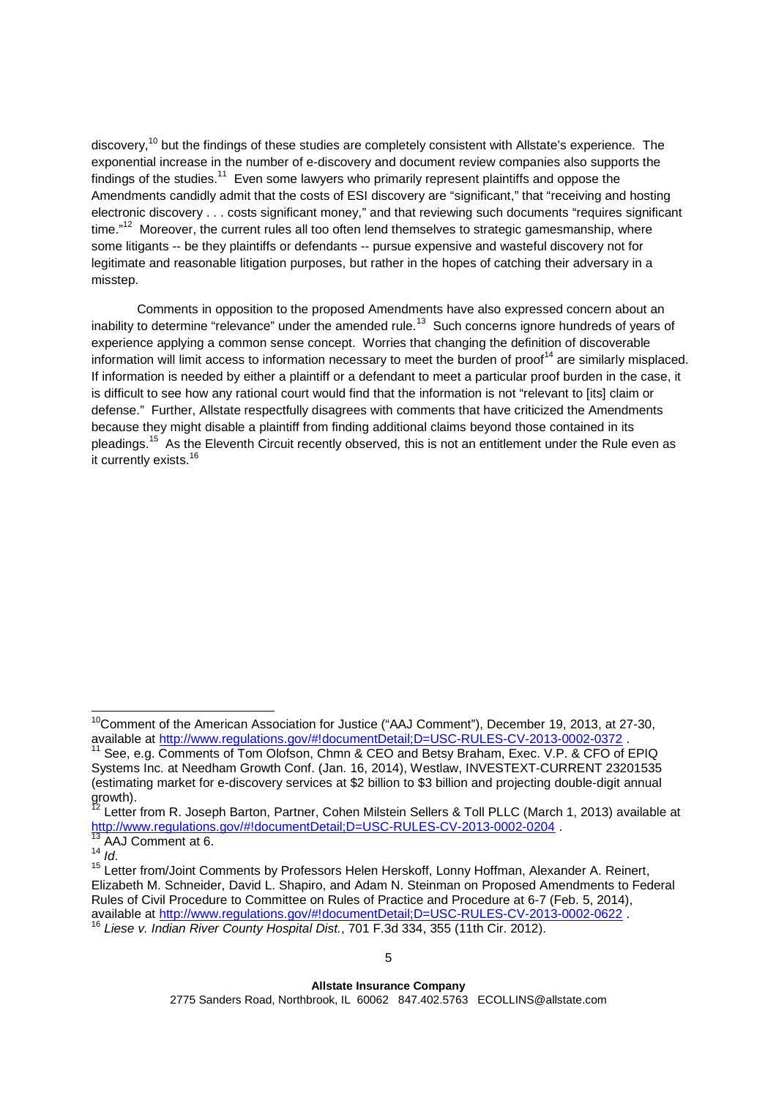discovery,<sup>10</sup> but the findings of these studies are completely consistent with Allstate's experience. The exponential increase in the number of e-discovery and document review companies also supports the findings of the studies.<sup>11</sup> Even some lawyers who primarily represent plaintiffs and oppose the Amendments candidly admit that the costs of ESI discovery are "significant," that "receiving and hosting electronic discovery . . . costs significant money," and that reviewing such documents "requires significant time."<sup>12</sup> Moreover, the current rules all too often lend themselves to strategic gamesmanship, where some litigants -- be they plaintiffs or defendants -- pursue expensive and wasteful discovery not for legitimate and reasonable litigation purposes, but rather in the hopes of catching their adversary in a misstep.

Comments in opposition to the proposed Amendments have also expressed concern about an inability to determine "relevance" under the amended rule.<sup>13</sup> Such concerns ignore hundreds of years of experience applying a common sense concept. Worries that changing the definition of discoverable information will limit access to information necessary to meet the burden of proof<sup>14</sup> are similarly misplaced. If information is needed by either a plaintiff or a defendant to meet a particular proof burden in the case, it is difficult to see how any rational court would find that the information is not "relevant to [its] claim or defense." Further, Allstate respectfully disagrees with comments that have criticized the Amendments because they might disable a plaintiff from finding additional claims beyond those contained in its pleadings.<sup>15</sup> As the Eleventh Circuit recently observed, this is not an entitlement under the Rule even as it currently exists.<sup>16</sup>

 $^{72}$  Letter from R. Joseph Barton, Partner, Cohen Milstein Sellers & Toll PLLC (March 1, 2013) available at http://www.regulations.gov/#!documentDetail;D=USC-RULES-CV-2013-0002-0204 .

<sup>&</sup>lt;sup>10</sup>Comment of the American Association for Justice ("AAJ Comment"), December 19, 2013, at 27-30, available at http://www.regulations.gov/#!documentDetail;D=USC-RULES-CV-2013-0002-0372 .

<sup>&</sup>lt;sup>11</sup> See, e.g. Comments of Tom Olofson, Chmn & CEO and Betsy Braham, Exec. V.P. & CFO of EPIQ Systems Inc. at Needham Growth Conf. (Jan. 16, 2014), Westlaw, INVESTEXT-CURRENT 23201535 (estimating market for e-discovery services at \$2 billion to \$3 billion and projecting double-digit annual growth).

<sup>&</sup>lt;sup>13</sup> AAJ Comment at 6.

<sup>14</sup> *Id*.

<sup>15&</sup>lt;br><sup>15</sup> Letter from/Joint Comments by Professors Helen Herskoff, Lonny Hoffman, Alexander A. Reinert, Elizabeth M. Schneider, David L. Shapiro, and Adam N. Steinman on Proposed Amendments to Federal Rules of Civil Procedure to Committee on Rules of Practice and Procedure at 6-7 (Feb. 5, 2014), available at http://www.regulations.gov/#!documentDetail;D=USC-RULES-CV-2013-0002-0622

<sup>16</sup> *Liese v. Indian River County Hospital Dist.*, 701 F.3d 334, 355 (11th Cir. 2012).